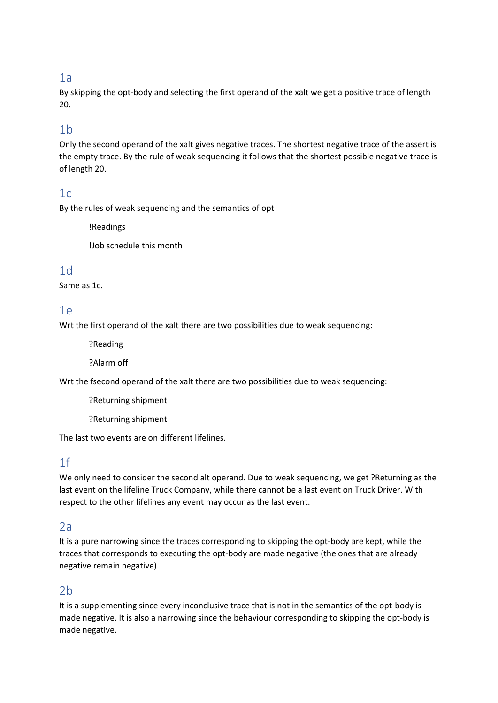### 1a

By skipping the opt-body and selecting the first operand of the xalt we get a positive trace of length 20.

### 1b

Only the second operand of the xalt gives negative traces. The shortest negative trace of the assert is the empty trace. By the rule of weak sequencing it follows that the shortest possible negative trace is of length 20.

### $1c$

By the rules of weak sequencing and the semantics of opt

!Readings

!Job schedule this month

### 1d

Same as 1c.

### 1e

Wrt the first operand of the xalt there are two possibilities due to weak sequencing:

?Reading

?Alarm off

Wrt the fsecond operand of the xalt there are two possibilities due to weak sequencing:

?Returning shipment

?Returning shipment

The last two events are on different lifelines.

### 1f

We only need to consider the second alt operand. Due to weak sequencing, we get ?Returning as the last event on the lifeline Truck Company, while there cannot be a last event on Truck Driver. With respect to the other lifelines any event may occur as the last event.

### $2a$

It is a pure narrowing since the traces corresponding to skipping the opt-body are kept, while the traces that corresponds to executing the opt-body are made negative (the ones that are already negative remain negative).

# $2h$

It is a supplementing since every inconclusive trace that is not in the semantics of the opt-body is made negative. It is also a narrowing since the behaviour corresponding to skipping the opt-body is made negative.